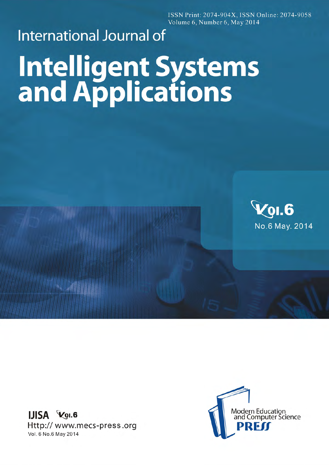ISSN Print: 2074-904X, ISSN Online: 2074-9058 Volume 6, Number 6, May 2014

## **International Journal of Intelligent Systems**<br>and Applications



**IJISA Vol.6** Http:// www.mecs-press.org Vol. 6 No. 6 May 2014

**NATION**